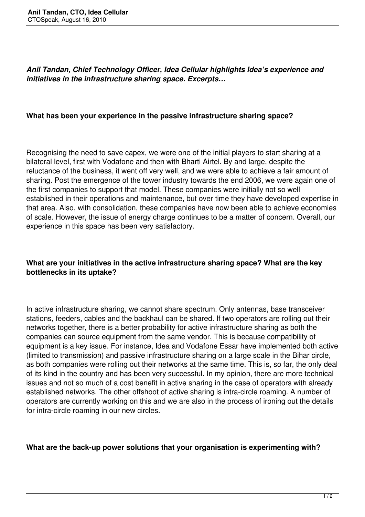*Anil Tandan, Chief Technology Officer, Idea Cellular highlights Idea's experience and initiatives in the infrastructure sharing space. Excerpts…*

#### **What has been your experience in the passive infrastructure sharing space?**

Recognising the need to save capex, we were one of the initial players to start sharing at a bilateral level, first with Vodafone and then with Bharti Airtel. By and large, despite the reluctance of the business, it went off very well, and we were able to achieve a fair amount of sharing. Post the emergence of the tower industry towards the end 2006, we were again one of the first companies to support that model. These companies were initially not so well established in their operations and maintenance, but over time they have developed expertise in that area. Also, with consolidation, these companies have now been able to achieve economies of scale. However, the issue of energy charge continues to be a matter of concern. Overall, our experience in this space has been very satisfactory.

## **What are your initiatives in the active infrastructure sharing space? What are the key bottlenecks in its uptake?**

In active infrastructure sharing, we cannot share spectrum. Only antennas, base transceiver stations, feeders, cables and the backhaul can be shared. If two operators are rolling out their networks together, there is a better probability for active infrastructure sharing as both the companies can source equipment from the same vendor. This is because compatibility of equipment is a key issue. For instance, Idea and Vodafone Essar have implemented both active (limited to transmission) and passive infrastructure sharing on a large scale in the Bihar circle, as both companies were rolling out their networks at the same time. This is, so far, the only deal of its kind in the country and has been very successful. In my opinion, there are more technical issues and not so much of a cost benefit in active sharing in the case of operators with already established networks. The other offshoot of active sharing is intra-circle roaming. A number of operators are currently working on this and we are also in the process of ironing out the details for intra-circle roaming in our new circles.

#### **What are the back-up power solutions that your organisation is experimenting with?**